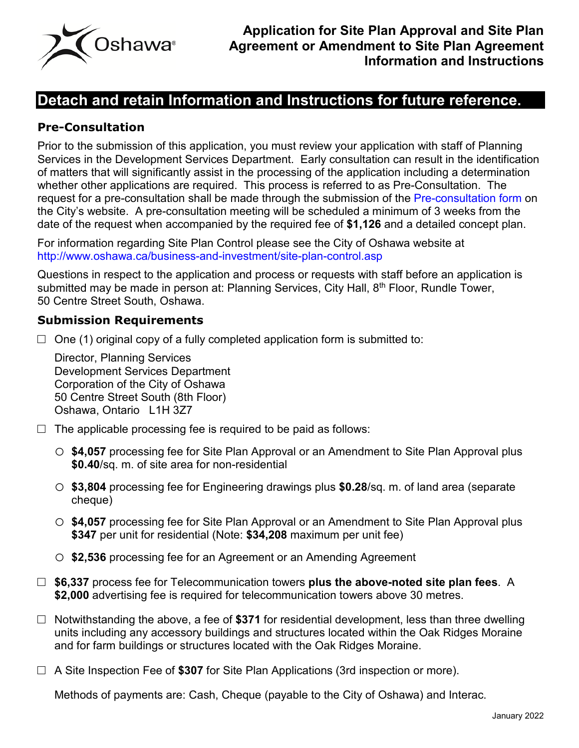

# **Detach and retain Information and Instructions for future reference.**

## **Pre-Consultation**

Prior to the submission of this application, you must review your application with staff of Planning Services in the Development Services Department. Early consultation can result in the identification of matters that will significantly assist in the processing of the application including a determination whether other applications are required. This process is referred to as Pre-Consultation. The request for a pre-consultation shall be made through the submission of the [Pre-consultation form](https://forms.oshawa.ca/Development-Services/Planning-Services/Pre-Consultation-for-Development-Applications) on the City's website. A pre-consultation meeting will be scheduled a minimum of 3 weeks from the date of the request when accompanied by the required fee of **\$1,126** and a detailed concept plan.

For information regarding Site Plan Control please see the City of Oshawa website at <http://www.oshawa.ca/business-and-investment/site-plan-control.asp>

Questions in respect to the application and process or requests with staff before an application is submitted may be made in person at: Planning Services, City Hall, 8<sup>th</sup> Floor, Rundle Tower, 50 Centre Street South, Oshawa.

### **Submission Requirements**

 $\Box$  One (1) original copy of a fully completed application form is submitted to:

Director, Planning Services Development Services Department Corporation of the City of Oshawa 50 Centre Street South (8th Floor) Oshawa, Ontario L1H 3Z7

- $\Box$  The applicable processing fee is required to be paid as follows:
	- o **\$4,057** processing fee for Site Plan Approval or an Amendment to Site Plan Approval plus **\$0.40**/sq. m. of site area for non-residential
	- o **\$3,804** processing fee for Engineering drawings plus **\$0.28**/sq. m. of land area (separate cheque)
	- o **\$4,057** processing fee for Site Plan Approval or an Amendment to Site Plan Approval plus **\$347** per unit for residential (Note: **\$34,208** maximum per unit fee)
	- o **\$2,536** processing fee for an Agreement or an Amending Agreement
- □ \$6,337 process fee for Telecommunication towers **plus the above-noted site plan fees**. A **\$2,000** advertising fee is required for telecommunication towers above 30 metres.
- □ Notwithstanding the above, a fee of **\$371** for residential development, less than three dwelling units including any accessory buildings and structures located within the Oak Ridges Moraine and for farm buildings or structures located with the Oak Ridges Moraine.
- □ A Site Inspection Fee of **\$307** for Site Plan Applications (3rd inspection or more).

Methods of payments are: Cash, Cheque (payable to the City of Oshawa) and Interac.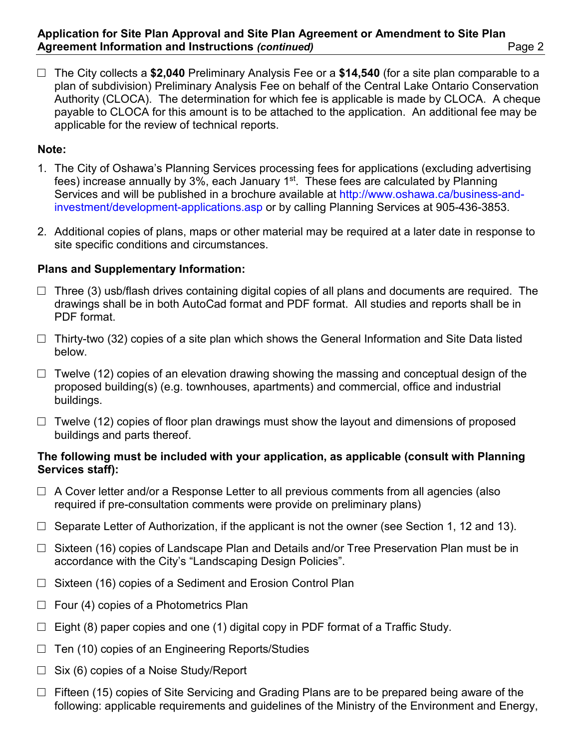□ The City collects a **\$2,040** Preliminary Analysis Fee or a **\$14,540** (for a site plan comparable to a plan of subdivision) Preliminary Analysis Fee on behalf of the Central Lake Ontario Conservation Authority (CLOCA). The determination for which fee is applicable is made by CLOCA. A cheque payable to CLOCA for this amount is to be attached to the application. An additional fee may be applicable for the review of technical reports.

### **Note:**

- 1. The City of Oshawa's Planning Services processing fees for applications (excluding advertising fees) increase annually by 3%, each January  $1<sup>st</sup>$ . These fees are calculated by Planning Services and will be published in a brochure available at [http://www.oshawa.ca/business-and](http://www.oshawa.ca/business-and-investment/development-applications.asp)[investment/development-applications.asp](http://www.oshawa.ca/business-and-investment/development-applications.asp) or by calling Planning Services at 905-436-3853.
- 2. Additional copies of plans, maps or other material may be required at a later date in response to site specific conditions and circumstances.

## **Plans and Supplementary Information:**

- $\Box$  Three (3) usb/flash drives containing digital copies of all plans and documents are required. The drawings shall be in both AutoCad format and PDF format. All studies and reports shall be in PDF format.
- $\Box$  Thirty-two (32) copies of a site plan which shows the General Information and Site Data listed below.
- $\Box$  Twelve (12) copies of an elevation drawing showing the massing and conceptual design of the proposed building(s) (e.g. townhouses, apartments) and commercial, office and industrial buildings.
- $\Box$  Twelve (12) copies of floor plan drawings must show the layout and dimensions of proposed buildings and parts thereof.

#### **The following must be included with your application, as applicable (consult with Planning Services staff):**

- $\Box$  A Cover letter and/or a Response Letter to all previous comments from all agencies (also required if pre-consultation comments were provide on preliminary plans)
- $\Box$  Separate Letter of Authorization, if the applicant is not the owner (see Section 1, 12 and 13).
- $\square$  Sixteen (16) copies of Landscape Plan and Details and/or Tree Preservation Plan must be in accordance with the City's "Landscaping Design Policies".
- $\Box$  Sixteen (16) copies of a Sediment and Erosion Control Plan
- $\Box$  Four (4) copies of a Photometrics Plan
- $\Box$  Eight (8) paper copies and one (1) digital copy in PDF format of a Traffic Study.
- $\Box$  Ten (10) copies of an Engineering Reports/Studies
- $\Box$  Six (6) copies of a Noise Study/Report
- $\Box$  Fifteen (15) copies of Site Servicing and Grading Plans are to be prepared being aware of the following: applicable requirements and guidelines of the Ministry of the Environment and Energy,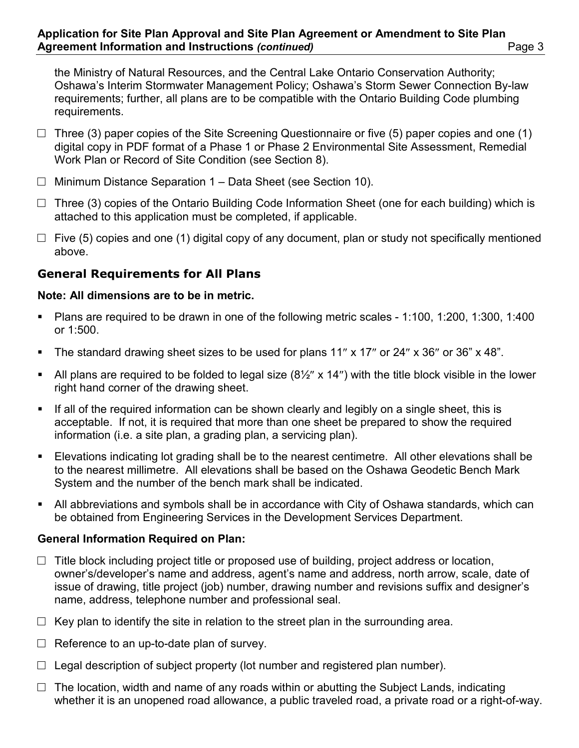the Ministry of Natural Resources, and the Central Lake Ontario Conservation Authority; Oshawa's Interim Stormwater Management Policy; Oshawa's Storm Sewer Connection By-law requirements; further, all plans are to be compatible with the Ontario Building Code plumbing requirements.

- $\Box$  Three (3) paper copies of the Site Screening Questionnaire or five (5) paper copies and one (1) digital copy in PDF format of a Phase 1 or Phase 2 Environmental Site Assessment, Remedial Work Plan or Record of Site Condition (see Section 8).
- $\Box$  Minimum Distance Separation 1 Data Sheet (see Section 10).
- $\Box$  Three (3) copies of the Ontario Building Code Information Sheet (one for each building) which is attached to this application must be completed, if applicable.
- $\Box$  Five (5) copies and one (1) digital copy of any document, plan or study not specifically mentioned above.

## **General Requirements for All Plans**

### **Note: All dimensions are to be in metric.**

- Plans are required to be drawn in one of the following metric scales 1:100, 1:200, 1:300, 1:400 or 1:500.
- The standard drawing sheet sizes to be used for plans 11" x 17" or 24" x 36" or 36" x 48".
- All plans are required to be folded to legal size  $(8\frac{1}{2}$ " x 14") with the title block visible in the lower right hand corner of the drawing sheet.
- If all of the required information can be shown clearly and legibly on a single sheet, this is acceptable. If not, it is required that more than one sheet be prepared to show the required information (i.e. a site plan, a grading plan, a servicing plan).
- Elevations indicating lot grading shall be to the nearest centimetre. All other elevations shall be to the nearest millimetre. All elevations shall be based on the Oshawa Geodetic Bench Mark System and the number of the bench mark shall be indicated.
- All abbreviations and symbols shall be in accordance with City of Oshawa standards, which can be obtained from Engineering Services in the Development Services Department.

## **General Information Required on Plan:**

- $\Box$  Title block including project title or proposed use of building, project address or location, owner's/developer's name and address, agent's name and address, north arrow, scale, date of issue of drawing, title project (job) number, drawing number and revisions suffix and designer's name, address, telephone number and professional seal.
- $\Box$  Key plan to identify the site in relation to the street plan in the surrounding area.
- $\Box$  Reference to an up-to-date plan of survey.
- $\Box$  Legal description of subject property (lot number and registered plan number).
- $\Box$  The location, width and name of any roads within or abutting the Subject Lands, indicating whether it is an unopened road allowance, a public traveled road, a private road or a right-of-way.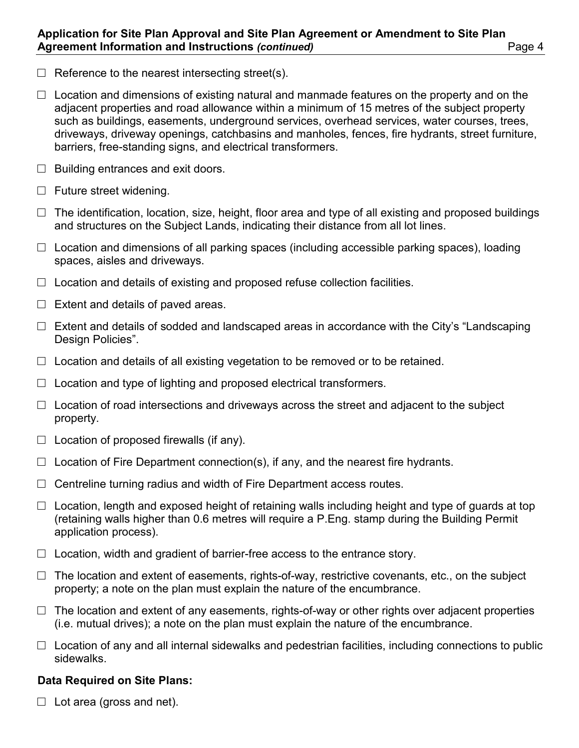- $\Box$  Reference to the nearest intersecting street(s).
- $\Box$  Location and dimensions of existing natural and manmade features on the property and on the adjacent properties and road allowance within a minimum of 15 metres of the subject property such as buildings, easements, underground services, overhead services, water courses, trees, driveways, driveway openings, catchbasins and manholes, fences, fire hydrants, street furniture, barriers, free-standing signs, and electrical transformers.
- $\Box$  Building entrances and exit doors.
- $\Box$  Future street widening.
- $\Box$  The identification, location, size, height, floor area and type of all existing and proposed buildings and structures on the Subject Lands, indicating their distance from all lot lines.
- $\Box$  Location and dimensions of all parking spaces (including accessible parking spaces), loading spaces, aisles and driveways.
- $\Box$  Location and details of existing and proposed refuse collection facilities.
- $\Box$  Extent and details of paved areas.
- $\Box$  Extent and details of sodded and landscaped areas in accordance with the City's "Landscaping Design Policies".
- $\Box$  Location and details of all existing vegetation to be removed or to be retained.
- $\Box$  Location and type of lighting and proposed electrical transformers.
- $\Box$  Location of road intersections and driveways across the street and adjacent to the subject property.
- $\Box$  Location of proposed firewalls (if any).
- $\Box$  Location of Fire Department connection(s), if any, and the nearest fire hydrants.
- $\Box$  Centreline turning radius and width of Fire Department access routes.
- $\Box$  Location, length and exposed height of retaining walls including height and type of guards at top (retaining walls higher than 0.6 metres will require a P.Eng. stamp during the Building Permit application process).
- $\Box$  Location, width and gradient of barrier-free access to the entrance story.
- $\Box$  The location and extent of easements, rights-of-way, restrictive covenants, etc., on the subject property; a note on the plan must explain the nature of the encumbrance.
- $\Box$  The location and extent of any easements, rights-of-way or other rights over adjacent properties (i.e. mutual drives); a note on the plan must explain the nature of the encumbrance.
- $\Box$  Location of any and all internal sidewalks and pedestrian facilities, including connections to public sidewalks.

#### **Data Required on Site Plans:**

 $\Box$  Lot area (gross and net).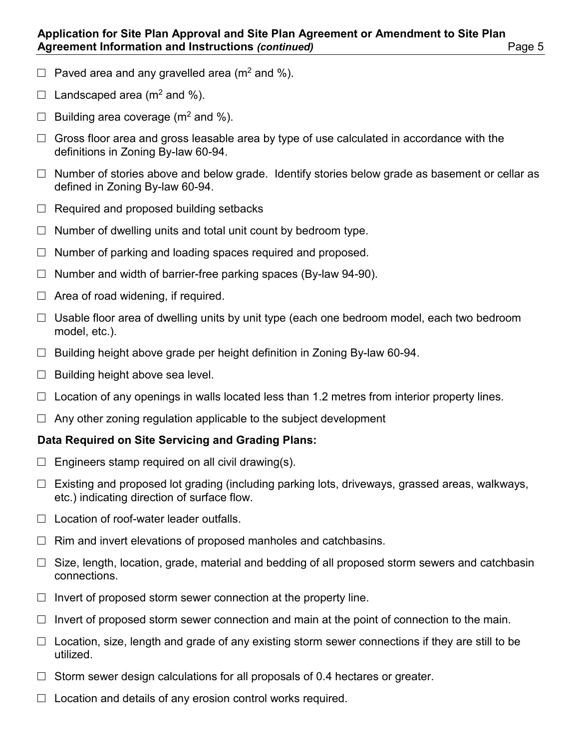- $\Box$  Paved area and any gravelled area (m<sup>2</sup> and %).
- $\Box$  Landscaped area (m<sup>2</sup> and %).
- $\Box$  Building area coverage (m<sup>2</sup> and %).
- $\Box$  Gross floor area and gross leasable area by type of use calculated in accordance with the definitions in Zoning By-law 60-94.
- $\Box$  Number of stories above and below grade. Identify stories below grade as basement or cellar as defined in Zoning By-law 60-94.
- $\Box$  Required and proposed building setbacks
- $\Box$  Number of dwelling units and total unit count by bedroom type.
- $\Box$  Number of parking and loading spaces required and proposed.
- $\Box$  Number and width of barrier-free parking spaces (By-law 94-90).
- $\Box$  Area of road widening, if required.
- $\Box$  Usable floor area of dwelling units by unit type (each one bedroom model, each two bedroom model, etc.).
- $\Box$  Building height above grade per height definition in Zoning By-law 60-94.
- $\Box$  Building height above sea level.
- $\Box$  Location of any openings in walls located less than 1.2 metres from interior property lines.
- $\Box$  Any other zoning regulation applicable to the subject development

## **Data Required on Site Servicing and Grading Plans:**

- $\Box$  Engineers stamp required on all civil drawing(s).
- $\Box$  Existing and proposed lot grading (including parking lots, driveways, grassed areas, walkways, etc.) indicating direction of surface flow.
- $\Box$  Location of roof-water leader outfalls.
- $\Box$  Rim and invert elevations of proposed manholes and catchbasins.
- $\Box$  Size, length, location, grade, material and bedding of all proposed storm sewers and catchbasin connections.
- $\Box$  Invert of proposed storm sewer connection at the property line.
- $\Box$  Invert of proposed storm sewer connection and main at the point of connection to the main.
- $\Box$  Location, size, length and grade of any existing storm sewer connections if they are still to be utilized.
- $\Box$  Storm sewer design calculations for all proposals of 0.4 hectares or greater.
- $\Box$  Location and details of any erosion control works required.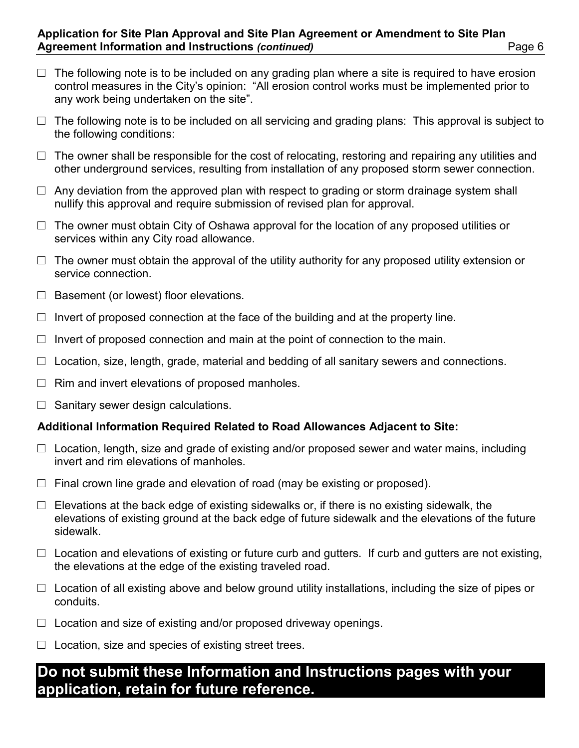- $\Box$  The following note is to be included on any grading plan where a site is required to have erosion control measures in the City's opinion: "All erosion control works must be implemented prior to any work being undertaken on the site".
- $\Box$  The following note is to be included on all servicing and grading plans: This approval is subject to the following conditions:
- $\Box$  The owner shall be responsible for the cost of relocating, restoring and repairing any utilities and other underground services, resulting from installation of any proposed storm sewer connection.
- $\Box$  Any deviation from the approved plan with respect to grading or storm drainage system shall nullify this approval and require submission of revised plan for approval.
- $\Box$  The owner must obtain City of Oshawa approval for the location of any proposed utilities or services within any City road allowance.
- $\Box$  The owner must obtain the approval of the utility authority for any proposed utility extension or service connection.
- $\Box$  Basement (or lowest) floor elevations.
- $\Box$  Invert of proposed connection at the face of the building and at the property line.
- $\Box$  Invert of proposed connection and main at the point of connection to the main.
- $\Box$  Location, size, length, grade, material and bedding of all sanitary sewers and connections.
- $\Box$  Rim and invert elevations of proposed manholes.
- $\Box$  Sanitary sewer design calculations.

#### **Additional Information Required Related to Road Allowances Adjacent to Site:**

- $\Box$  Location, length, size and grade of existing and/or proposed sewer and water mains, including invert and rim elevations of manholes.
- $\Box$  Final crown line grade and elevation of road (may be existing or proposed).
- $\Box$  Elevations at the back edge of existing sidewalks or, if there is no existing sidewalk, the elevations of existing ground at the back edge of future sidewalk and the elevations of the future sidewalk.
- $\square$  Location and elevations of existing or future curb and gutters. If curb and gutters are not existing, the elevations at the edge of the existing traveled road.
- $\Box$  Location of all existing above and below ground utility installations, including the size of pipes or conduits.
- $\Box$  Location and size of existing and/or proposed driveway openings.
- $\Box$  Location, size and species of existing street trees.

# **Do not submit these Information and Instructions pages with your application, retain for future reference.**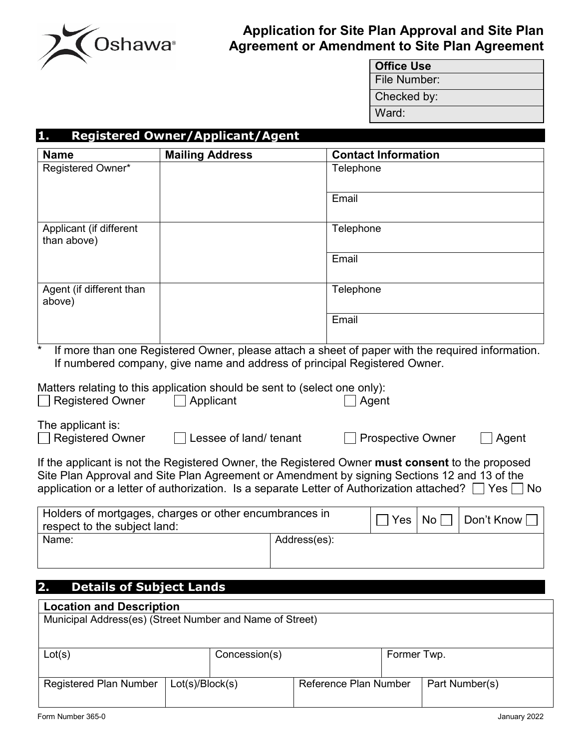

## **Application for Site Plan Approval and Site Plan Agreement or Amendment to Site Plan Agreement**

| <b>Office Use</b> |
|-------------------|
| File Number:      |
| Checked by:       |
| Ward:             |

## **1. Registered Owner/Applicant/Agent**

| <b>Name</b>                                                                                          | <b>Mailing Address</b>                                                    |              | <b>Contact Information</b>                                                                                                                                                                                     |            |
|------------------------------------------------------------------------------------------------------|---------------------------------------------------------------------------|--------------|----------------------------------------------------------------------------------------------------------------------------------------------------------------------------------------------------------------|------------|
| Registered Owner*                                                                                    |                                                                           |              | Telephone                                                                                                                                                                                                      |            |
|                                                                                                      |                                                                           |              | Email                                                                                                                                                                                                          |            |
|                                                                                                      |                                                                           |              |                                                                                                                                                                                                                |            |
| Applicant (if different<br>than above)                                                               |                                                                           |              | Telephone                                                                                                                                                                                                      |            |
|                                                                                                      |                                                                           |              | Email                                                                                                                                                                                                          |            |
| Agent (if different than<br>above)                                                                   |                                                                           |              | Telephone                                                                                                                                                                                                      |            |
|                                                                                                      |                                                                           |              | Email                                                                                                                                                                                                          |            |
| $\star$                                                                                              | If numbered company, give name and address of principal Registered Owner. |              | If more than one Registered Owner, please attach a sheet of paper with the required information.                                                                                                               |            |
| Matters relating to this application should be sent to (select one only):<br><b>Registered Owner</b> | Applicant                                                                 |              | Agent                                                                                                                                                                                                          |            |
| The applicant is:<br><b>Registered Owner</b>                                                         | Lessee of land/ tenant                                                    |              | <b>Prospective Owner</b>                                                                                                                                                                                       | Agent      |
|                                                                                                      |                                                                           |              | If the applicant is not the Registered Owner, the Registered Owner must consent to the proposed                                                                                                                |            |
|                                                                                                      |                                                                           |              | Site Plan Approval and Site Plan Agreement or Amendment by signing Sections 12 and 13 of the<br>application or a letter of authorization. Is a separate Letter of Authorization attached? $\Box$ Yes $\Box$ No |            |
| Holders of mortgages, charges or other encumbrances in<br>respect to the subject land:               |                                                                           |              | ∣ Yes<br>No <sub>1</sub>                                                                                                                                                                                       | Don't Know |
| Name:                                                                                                |                                                                           | Address(es): |                                                                                                                                                                                                                |            |
|                                                                                                      |                                                                           |              |                                                                                                                                                                                                                |            |
| 2.<br><b>Details of Subject Lands</b>                                                                |                                                                           |              |                                                                                                                                                                                                                |            |
| <b>Location and Description</b>                                                                      |                                                                           |              |                                                                                                                                                                                                                |            |
| Municipal Address(es) (Street Number and Name of Street)                                             |                                                                           |              |                                                                                                                                                                                                                |            |

| Lot(s)                 |                     | Concession(s) |                       | Former Twp. |                |
|------------------------|---------------------|---------------|-----------------------|-------------|----------------|
|                        |                     |               |                       |             |                |
|                        |                     |               |                       |             |                |
| Registered Plan Number | $ $ Lot(s)/Block(s) |               | Reference Plan Number |             | Part Number(s) |
|                        |                     |               |                       |             |                |
|                        |                     |               |                       |             |                |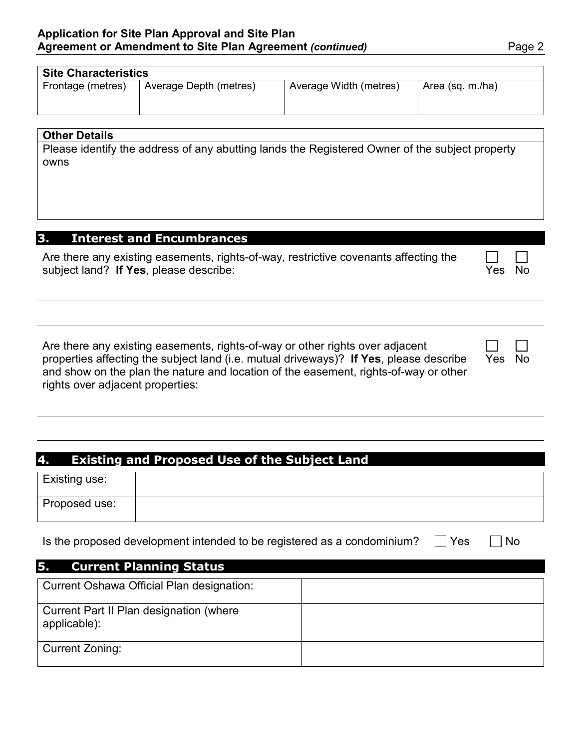| <b>Site Characteristics</b> |                        |                        |                  |  |  |  |  |
|-----------------------------|------------------------|------------------------|------------------|--|--|--|--|
| Frontage (metres)           | Average Depth (metres) | Average Width (metres) | Area (sq. m./ha) |  |  |  |  |
|                             |                        |                        |                  |  |  |  |  |
|                             |                        |                        |                  |  |  |  |  |

#### **Other Details**

Please identify the address of any abutting lands the Registered Owner of the subject property owns

## **3. Interest and Encumbrances**

| Are there any existing easements, rights-of-way, restrictive covenants affecting the | المستحقق المستورة |  |
|--------------------------------------------------------------------------------------|-------------------|--|
| subject land? If Yes, please describe:                                               | Yes No            |  |

Are there any existing easements, rights-of-way or other rights over adjacent properties affecting the subject land (i.e. mutual driveways)? **If Yes**, please describe and show on the plan the nature and location of the easement, rights-of-way or other rights over adjacent properties:

| 4. Existing and Proposed Use of the Subject Land |  |  |
|--------------------------------------------------|--|--|

| Existing use: |  |
|---------------|--|
| Proposed use: |  |

Is the proposed development intended to be registered as a condominium?  $\Box$  Yes  $\Box$  No

| <b>Current Planning Status</b><br>5.                           |  |
|----------------------------------------------------------------|--|
| Current Oshawa Official Plan designation:                      |  |
| <b>Current Part II Plan designation (where</b><br>applicable): |  |
| Current Zoning:                                                |  |

Yes No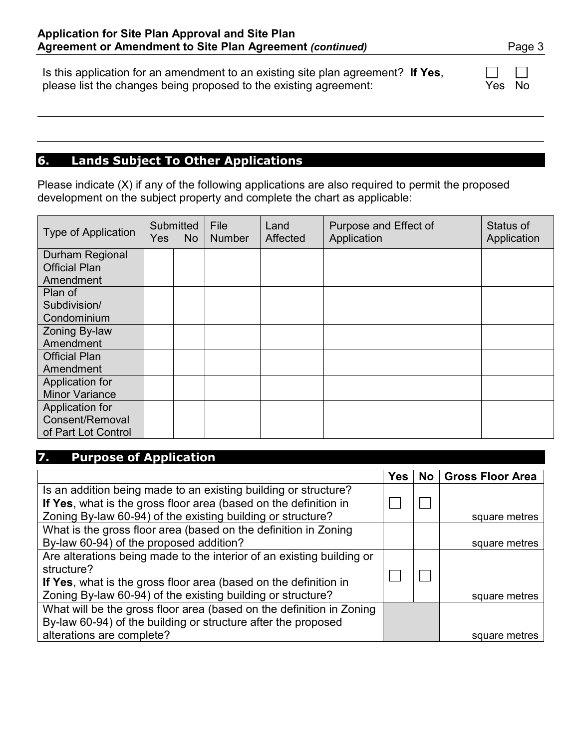Is this application for an amendment to an existing site plan agreement? **If Yes**, please list the changes being proposed to the existing agreement: Yes No

## **6. Lands Subject To Other Applications**

Please indicate (X) if any of the following applications are also required to permit the proposed development on the subject property and complete the chart as applicable:

| <b>Type of Application</b>              | <b>Yes</b> | Submitted<br><b>No</b> | <b>File</b><br><b>Number</b> | Land<br>Affected | Purpose and Effect of<br>Application | Status of<br>Application |
|-----------------------------------------|------------|------------------------|------------------------------|------------------|--------------------------------------|--------------------------|
| Durham Regional<br><b>Official Plan</b> |            |                        |                              |                  |                                      |                          |
| Amendment                               |            |                        |                              |                  |                                      |                          |
| Plan of                                 |            |                        |                              |                  |                                      |                          |
| Subdivision/                            |            |                        |                              |                  |                                      |                          |
| Condominium                             |            |                        |                              |                  |                                      |                          |
| Zoning By-law                           |            |                        |                              |                  |                                      |                          |
| Amendment                               |            |                        |                              |                  |                                      |                          |
| <b>Official Plan</b>                    |            |                        |                              |                  |                                      |                          |
| Amendment                               |            |                        |                              |                  |                                      |                          |
| Application for                         |            |                        |                              |                  |                                      |                          |
| <b>Minor Variance</b>                   |            |                        |                              |                  |                                      |                          |
| Application for                         |            |                        |                              |                  |                                      |                          |
| Consent/Removal                         |            |                        |                              |                  |                                      |                          |
| of Part Lot Control                     |            |                        |                              |                  |                                      |                          |

## **7. Purpose of Application**

|                                                                       | <b>Yes</b> | No l | <b>Gross Floor Area</b> |
|-----------------------------------------------------------------------|------------|------|-------------------------|
| Is an addition being made to an existing building or structure?       |            |      |                         |
| If Yes, what is the gross floor area (based on the definition in      |            |      |                         |
| Zoning By-law 60-94) of the existing building or structure?           |            |      | square metres           |
| What is the gross floor area (based on the definition in Zoning       |            |      |                         |
| By-law 60-94) of the proposed addition?                               |            |      | square metres           |
| Are alterations being made to the interior of an existing building or |            |      |                         |
| structure?                                                            |            |      |                         |
| If Yes, what is the gross floor area (based on the definition in      |            |      |                         |
| Zoning By-law 60-94) of the existing building or structure?           |            |      | square metres           |
| What will be the gross floor area (based on the definition in Zoning  |            |      |                         |
| By-law 60-94) of the building or structure after the proposed         |            |      |                         |
| alterations are complete?                                             |            |      | square metres           |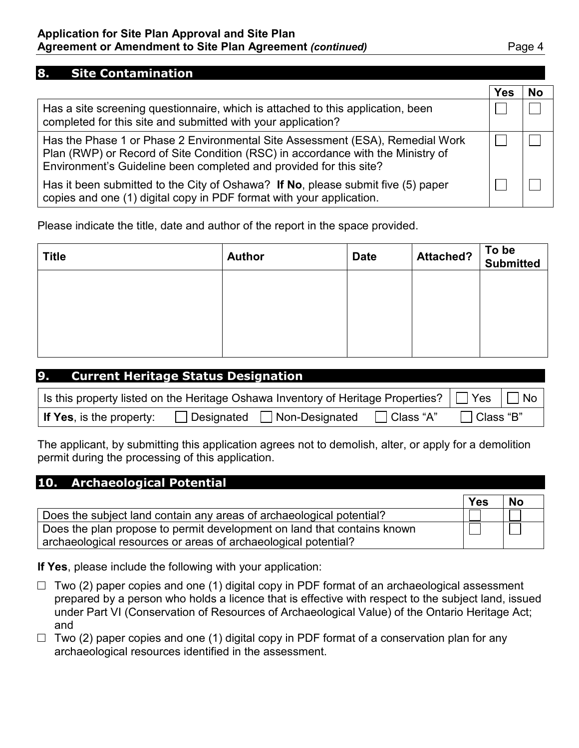### **Application for Site Plan Approval and Site Plan Agreement or Amendment to Site Plan Agreement** *(continued)* Page 4

#### **8. Site Contamination**

|                                                                                                                                                                                                                                        | Yes | No |
|----------------------------------------------------------------------------------------------------------------------------------------------------------------------------------------------------------------------------------------|-----|----|
| Has a site screening questionnaire, which is attached to this application, been<br>completed for this site and submitted with your application?                                                                                        |     |    |
| Has the Phase 1 or Phase 2 Environmental Site Assessment (ESA), Remedial Work<br>Plan (RWP) or Record of Site Condition (RSC) in accordance with the Ministry of<br>Environment's Guideline been completed and provided for this site? |     |    |
| Has it been submitted to the City of Oshawa? If No, please submit five (5) paper<br>copies and one (1) digital copy in PDF format with your application.                                                                               |     |    |

Please indicate the title, date and author of the report in the space provided.

| <b>Title</b> | <b>Author</b> | <b>Date</b> | <b>Attached?</b> | To be<br>Submitted |
|--------------|---------------|-------------|------------------|--------------------|
|              |               |             |                  |                    |
|              |               |             |                  |                    |
|              |               |             |                  |                    |
|              |               |             |                  |                    |

| 9.<br><b>Current Heritage Status Designation</b>                                            |                                         |             |             |      |
|---------------------------------------------------------------------------------------------|-----------------------------------------|-------------|-------------|------|
| Is this property listed on the Heritage Oshawa Inventory of Heritage Properties? $\Box$ Yes |                                         |             |             | l No |
| <b>If Yes, is the property:</b>                                                             | $\Box$ Designated $\Box$ Non-Designated | □ Class "A" | ∃ Class "B" |      |

The applicant, by submitting this application agrees not to demolish, alter, or apply for a demolition permit during the processing of this application.

| 10. Archaeological Potential                                            |     |           |
|-------------------------------------------------------------------------|-----|-----------|
|                                                                         | Yes | <b>No</b> |
| Does the subject land contain any areas of archaeological potential?    |     |           |
| Does the plan propose to permit development on land that contains known |     |           |
| archaeological resources or areas of archaeological potential?          |     |           |

**If Yes**, please include the following with your application:

- $\Box$  Two (2) paper copies and one (1) digital copy in PDF format of an archaeological assessment prepared by a person who holds a licence that is effective with respect to the subject land, issued under Part VI (Conservation of Resources of Archaeological Value) of the Ontario Heritage Act; and
- $\Box$  Two (2) paper copies and one (1) digital copy in PDF format of a conservation plan for any archaeological resources identified in the assessment.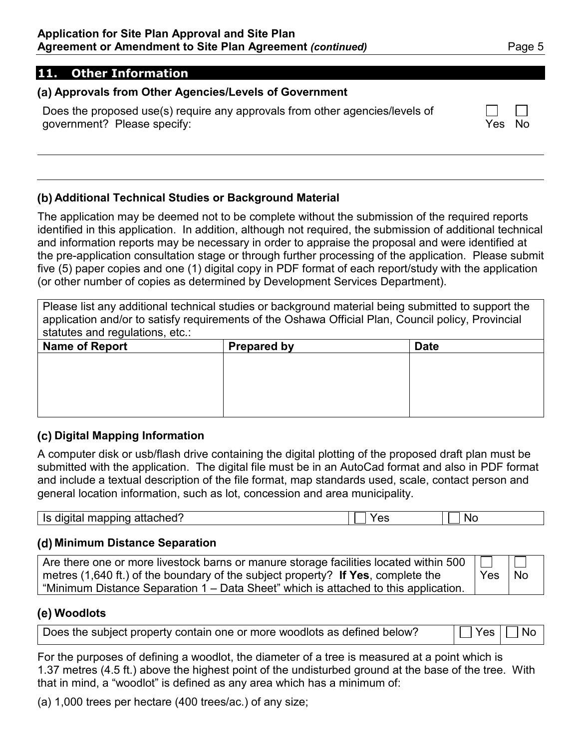## **11. Other Information**

#### **Approvals from Other Agencies/Levels of Government**

Does the proposed use(s) require any approvals from other agencies/levels of government? Please specify:

## **Additional Technical Studies or Background Material**

The application may be deemed not to be complete without the submission of the required reports identified in this application. In addition, although not required, the submission of additional technical and information reports may be necessary in order to appraise the proposal and were identified at the pre-application consultation stage or through further processing of the application. Please submit five (5) paper copies and one (1) digital copy in PDF format of each report/study with the application (or other number of copies as determined by Development Services Department).

Please list any additional technical studies or background material being submitted to support the application and/or to satisfy requirements of the Oshawa Official Plan, Council policy, Provincial statutes and regulations, etc.:

| Name of Report | <b>Prepared by</b> | <b>Date</b> |
|----------------|--------------------|-------------|
|                |                    |             |
|                |                    |             |
|                |                    |             |
|                |                    |             |
|                |                    |             |

#### **Digital Mapping Information**

A computer disk or usb/flash drive containing the digital plotting of the proposed draft plan must be submitted with the application. The digital file must be in an AutoCad format and also in PDF format and include a textual description of the file format, map standards used, scale, contact person and general location information, such as lot, concession and area municipality.

| attached'<br>--------<br>10<br>ור<br>טוווטש<br>110<br> |  | N |
|--------------------------------------------------------|--|---|
|--------------------------------------------------------|--|---|

#### **Minimum Distance Separation**

| $\mid$ Are there one or more livestock barns or manure storage facilities located within 500 $\mid \square \mid$ |          | $\sim$ 11 1 |
|------------------------------------------------------------------------------------------------------------------|----------|-------------|
| metres (1,640 ft.) of the boundary of the subject property? If Yes, complete the                                 | Yes   No |             |
| "Minimum Distance Separation 1 – Data Sheet" which is attached to this application.                              |          |             |

## **Woodlots**

| Does the subject property contain one or more woodlots as defined below? | $ \Box$ Yes $ \Box$ No $ $ |  |  |
|--------------------------------------------------------------------------|----------------------------|--|--|
|--------------------------------------------------------------------------|----------------------------|--|--|

For the purposes of defining a woodlot, the diameter of a tree is measured at a point which is 1.37 metres (4.5 ft.) above the highest point of the undisturbed ground at the base of the tree. With that in mind, a "woodlot" is defined as any area which has a minimum of:

(a) 1,000 trees per hectare (400 trees/ac.) of any size;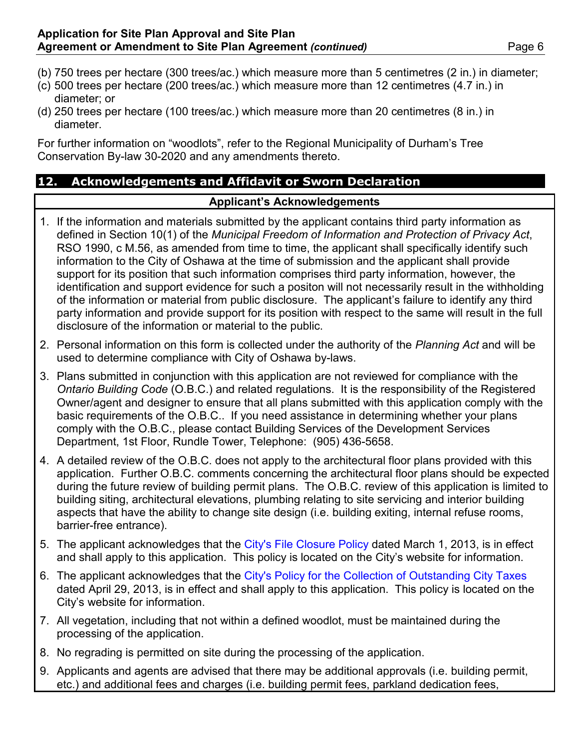- (b) 750 trees per hectare (300 trees/ac.) which measure more than 5 centimetres (2 in.) in diameter;
- (c) 500 trees per hectare (200 trees/ac.) which measure more than 12 centimetres (4.7 in.) in diameter; or
- (d) 250 trees per hectare (100 trees/ac.) which measure more than 20 centimetres (8 in.) in diameter.

For further information on "woodlots", refer to the Regional Municipality of Durham's Tree Conservation By-law 30-2020 and any amendments thereto.

## **12. Acknowledgements and Affidavit or Sworn Declaration**

## **Applicant's Acknowledgements**

- 1. If the information and materials submitted by the applicant contains third party information as defined in Section 10(1) of the *Municipal Freedom of Information and Protection of Privacy Act*, RSO 1990, c M.56, as amended from time to time, the applicant shall specifically identify such information to the City of Oshawa at the time of submission and the applicant shall provide support for its position that such information comprises third party information, however, the identification and support evidence for such a positon will not necessarily result in the withholding of the information or material from public disclosure. The applicant's failure to identify any third party information and provide support for its position with respect to the same will result in the full disclosure of the information or material to the public.
- 2. Personal information on this form is collected under the authority of the *Planning Act* and will be used to determine compliance with City of Oshawa by-laws.
- 3. Plans submitted in conjunction with this application are not reviewed for compliance with the *Ontario Building Code* (O.B.C.) and related regulations. It is the responsibility of the Registered Owner/agent and designer to ensure that all plans submitted with this application comply with the basic requirements of the O.B.C.. If you need assistance in determining whether your plans comply with the O.B.C., please contact Building Services of the Development Services Department, 1st Floor, Rundle Tower, Telephone: (905) 436-5658.
- 4. A detailed review of the O.B.C. does not apply to the architectural floor plans provided with this application. Further O.B.C. comments concerning the architectural floor plans should be expected during the future review of building permit plans. The O.B.C. review of this application is limited to building siting, architectural elevations, plumbing relating to site servicing and interior building aspects that have the ability to change site design (i.e. building exiting, internal refuse rooms, barrier-free entrance).
- 5. The applicant acknowledges that the [City's File Closure Policy](http://www.oshawa.ca/city-hall/resources/developmentapplicationfileclosurepolicy.pdf) dated March 1, 2013, is in effect and shall apply to this application. This policy is located on the City's website for information.
- 6. The applicant acknowledges that the [City's Policy for the Collection of Outstanding City Taxes](http://www.oshawa.ca/city-hall/resources/developmentapplicationtaxpolicy.pdf) dated April 29, 2013, is in effect and shall apply to this application. This policy is located on the City's website for information.
- 7. All vegetation, including that not within a defined woodlot, must be maintained during the processing of the application.
- 8. No regrading is permitted on site during the processing of the application.
- 9. Applicants and agents are advised that there may be additional approvals (i.e. building permit, etc.) and additional fees and charges (i.e. building permit fees, parkland dedication fees,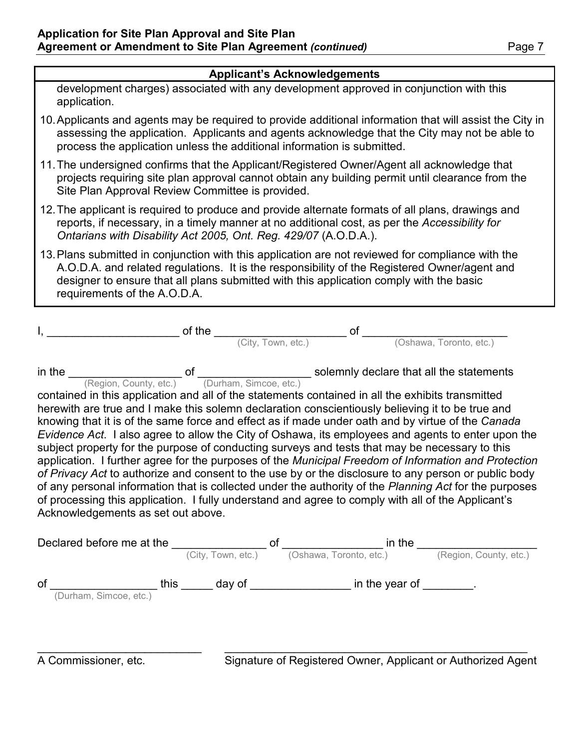### **Applicant's Acknowledgements**

development charges) associated with any development approved in conjunction with this application.

- 10.Applicants and agents may be required to provide additional information that will assist the City in assessing the application. Applicants and agents acknowledge that the City may not be able to process the application unless the additional information is submitted.
- 11.The undersigned confirms that the Applicant/Registered Owner/Agent all acknowledge that projects requiring site plan approval cannot obtain any building permit until clearance from the Site Plan Approval Review Committee is provided.
- 12.The applicant is required to produce and provide alternate formats of all plans, drawings and reports, if necessary, in a timely manner at no additional cost, as per the *Accessibility for Ontarians with Disability Act 2005, Ont. Reg. 429/07* (A.O.D.A.).
- 13.Plans submitted in conjunction with this application are not reviewed for compliance with the A.O.D.A. and related regulations. It is the responsibility of the Registered Owner/agent and designer to ensure that all plans submitted with this application comply with the basic requirements of the A.O.D.A.

| _________________ of the ____                                                                                                                                                                                                                                                                                                                                                                                                                                                                                                                                                                                                                                                                                                                                                                                                                                                                                                                                                                                                                                                                                                                              |                    | of |                         |
|------------------------------------------------------------------------------------------------------------------------------------------------------------------------------------------------------------------------------------------------------------------------------------------------------------------------------------------------------------------------------------------------------------------------------------------------------------------------------------------------------------------------------------------------------------------------------------------------------------------------------------------------------------------------------------------------------------------------------------------------------------------------------------------------------------------------------------------------------------------------------------------------------------------------------------------------------------------------------------------------------------------------------------------------------------------------------------------------------------------------------------------------------------|--------------------|----|-------------------------|
|                                                                                                                                                                                                                                                                                                                                                                                                                                                                                                                                                                                                                                                                                                                                                                                                                                                                                                                                                                                                                                                                                                                                                            | (City, Town, etc.) |    | (Oshawa, Toronto, etc.) |
| in the $\underbrace{\qquad \qquad}_{(Region, County, etc.)}$ of $\underbrace{\qquad \qquad}_{(Durham, Simone, etc.)}$ solemnly declare that all the statements<br>contained in this application and all of the statements contained in all the exhibits transmitted<br>herewith are true and I make this solemn declaration conscientiously believing it to be true and<br>knowing that it is of the same force and effect as if made under oath and by virtue of the Canada<br>Evidence Act. I also agree to allow the City of Oshawa, its employees and agents to enter upon the<br>subject property for the purpose of conducting surveys and tests that may be necessary to this<br>application. I further agree for the purposes of the Municipal Freedom of Information and Protection<br>of Privacy Act to authorize and consent to the use by or the disclosure to any person or public body<br>of any personal information that is collected under the authority of the Planning Act for the purposes<br>of processing this application. I fully understand and agree to comply with all of the Applicant's<br>Acknowledgements as set out above. |                    |    |                         |
|                                                                                                                                                                                                                                                                                                                                                                                                                                                                                                                                                                                                                                                                                                                                                                                                                                                                                                                                                                                                                                                                                                                                                            |                    |    |                         |
| <b>Declared before me at the </b><br>(City, Town, etc.) <b>of</b> <u>(Oshawa, Toronto, etc.)</u> <b>in the </b><br>(Region, County, etc.)                                                                                                                                                                                                                                                                                                                                                                                                                                                                                                                                                                                                                                                                                                                                                                                                                                                                                                                                                                                                                  |                    |    |                         |
|                                                                                                                                                                                                                                                                                                                                                                                                                                                                                                                                                                                                                                                                                                                                                                                                                                                                                                                                                                                                                                                                                                                                                            |                    |    |                         |

of \_\_\_\_\_\_\_\_\_\_\_\_\_\_\_\_\_\_\_ this \_\_\_\_\_\_ day of \_\_\_\_\_\_\_\_\_\_\_\_\_\_\_\_\_\_ in the year of \_\_\_\_\_\_\_\_. (Durham, Simcoe, etc.) \_\_\_\_\_\_\_\_\_\_\_\_\_\_\_\_\_\_\_\_\_\_\_\_\_\_ \_\_\_\_\_\_\_\_\_\_\_\_\_\_\_\_\_\_\_\_\_\_\_\_\_\_\_\_\_\_\_\_\_\_\_\_\_\_\_\_\_\_\_\_\_\_\_\_

A Commissioner, etc. Signature of Registered Owner, Applicant or Authorized Agent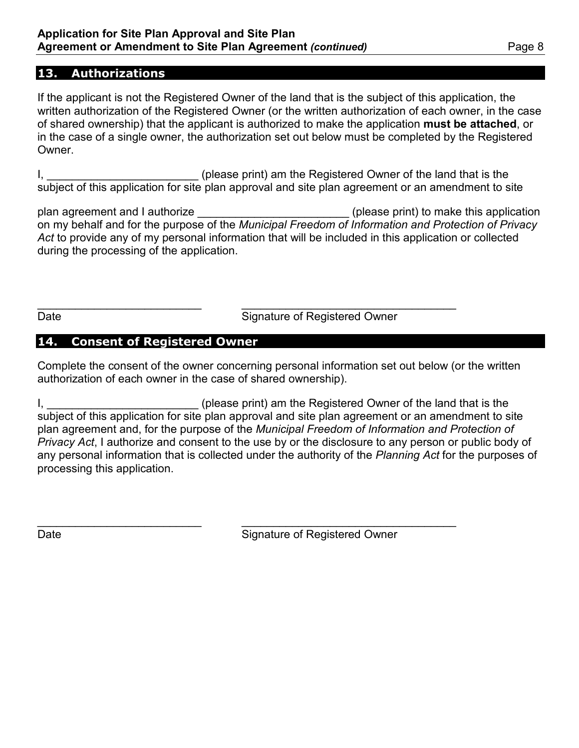## **13. Authorizations**

If the applicant is not the Registered Owner of the land that is the subject of this application, the written authorization of the Registered Owner (or the written authorization of each owner, in the case of shared ownership) that the applicant is authorized to make the application **must be attached**, or in the case of a single owner, the authorization set out below must be completed by the Registered Owner.

I, 1. All and that is the same control of the land that is the land that is the land that is the land that is the subject of this application for site plan approval and site plan agreement or an amendment to site

plan agreement and I authorize **Example 20** (please print) to make this application on my behalf and for the purpose of the *Municipal Freedom of Information and Protection of Privacy Act* to provide any of my personal information that will be included in this application or collected during the processing of the application.

\_\_\_\_\_\_\_\_\_\_\_\_\_\_\_\_\_\_\_\_\_\_\_\_\_\_ \_\_\_\_\_\_\_\_\_\_\_\_\_\_\_\_\_\_\_\_\_\_\_\_\_\_\_\_\_\_\_\_\_\_ Date **Signature of Registered Owner** 

## **14. Consent of Registered Owner**

Complete the consent of the owner concerning personal information set out below (or the written authorization of each owner in the case of shared ownership).

I, \_\_\_\_\_\_\_\_\_\_\_\_\_\_\_\_\_\_\_\_\_\_\_\_\_\_\_\_\_\_(please print) am the Registered Owner of the land that is the subject of this application for site plan approval and site plan agreement or an amendment to site plan agreement and, for the purpose of the *Municipal Freedom of Information and Protection of Privacy Act*, I authorize and consent to the use by or the disclosure to any person or public body of any personal information that is collected under the authority of the *Planning Act* for the purposes of processing this application.

\_\_\_\_\_\_\_\_\_\_\_\_\_\_\_\_\_\_\_\_\_\_\_\_\_\_ \_\_\_\_\_\_\_\_\_\_\_\_\_\_\_\_\_\_\_\_\_\_\_\_\_\_\_\_\_\_\_\_\_\_ Date **Signature of Registered Owner**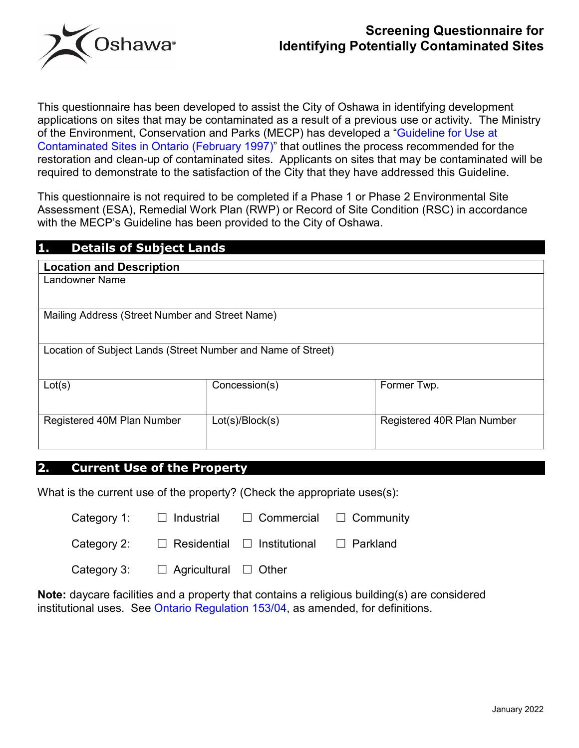

## **Screening Questionnaire for Identifying Potentially Contaminated Sites**

This questionnaire has been developed to assist the City of Oshawa in identifying development applications on sites that may be contaminated as a result of a previous use or activity. The Ministry of the Environment, Conservation and Parks (MECP) has developed a ["Guideline for Use at](https://archive.org/details/guidelineforusea00ontauoft/page/n0)  [Contaminated Sites in Ontario \(February 1997\)"](https://archive.org/details/guidelineforusea00ontauoft/page/n0) that outlines the process recommended for the restoration and clean-up of contaminated sites. Applicants on sites that may be contaminated will be required to demonstrate to the satisfaction of the City that they have addressed this Guideline.

This questionnaire is not required to be completed if a Phase 1 or Phase 2 Environmental Site Assessment (ESA), Remedial Work Plan (RWP) or Record of Site Condition (RSC) in accordance with the MECP's Guideline has been provided to the City of Oshawa.

| 1.<br><b>Details of Subject Lands</b>                        |                 |                            |  |
|--------------------------------------------------------------|-----------------|----------------------------|--|
| <b>Location and Description</b>                              |                 |                            |  |
| Landowner Name                                               |                 |                            |  |
|                                                              |                 |                            |  |
| Mailing Address (Street Number and Street Name)              |                 |                            |  |
|                                                              |                 |                            |  |
| Location of Subject Lands (Street Number and Name of Street) |                 |                            |  |
|                                                              |                 |                            |  |
| Lot(s)                                                       | Concession(s)   | Former Twp.                |  |
|                                                              |                 |                            |  |
| Registered 40M Plan Number                                   | Lot(s)/Block(s) | Registered 40R Plan Number |  |
|                                                              |                 |                            |  |
|                                                              |                 |                            |  |

#### **2. Current Use of the Property**

What is the current use of the property? (Check the appropriate uses(s):

| Category 1: | $\Box$ Industrial                       | $\Box$ Commercial $\Box$ Community |            |
|-------------|-----------------------------------------|------------------------------------|------------|
| Category 2: | $\Box$ Residential $\Box$ Institutional |                                    | □ Parkland |

| Category 3: | $\Box$ Agricultural | $\Box$ Other |
|-------------|---------------------|--------------|
|             |                     |              |

**Note:** daycare facilities and a property that contains a religious building(s) are considered institutional uses. See [Ontario Regulation 153/04,](https://www.ontario.ca/laws/regulation/040153) as amended, for definitions.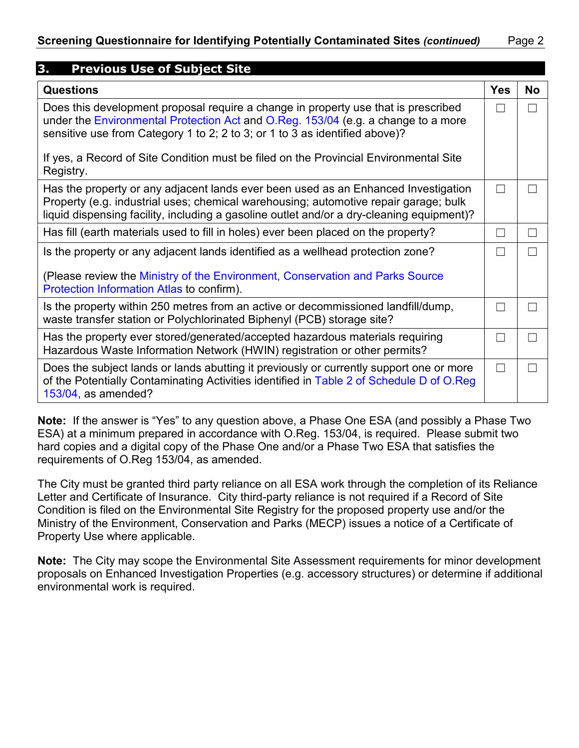| 3.<br><b>Previous Use of Subject Site</b>                                                                                                                                                                                                                               |            |           |
|-------------------------------------------------------------------------------------------------------------------------------------------------------------------------------------------------------------------------------------------------------------------------|------------|-----------|
| <b>Questions</b>                                                                                                                                                                                                                                                        | <b>Yes</b> | <b>No</b> |
| Does this development proposal require a change in property use that is prescribed<br>under the Environmental Protection Act and O.Reg. 153/04 (e.g. a change to a more<br>sensitive use from Category 1 to 2; 2 to 3; or 1 to 3 as identified above)?                  |            | $\Box$    |
| If yes, a Record of Site Condition must be filed on the Provincial Environmental Site<br>Registry.                                                                                                                                                                      |            |           |
| Has the property or any adjacent lands ever been used as an Enhanced Investigation<br>Property (e.g. industrial uses; chemical warehousing; automotive repair garage; bulk<br>liquid dispensing facility, including a gasoline outlet and/or a dry-cleaning equipment)? | $\Box$     | П         |
| Has fill (earth materials used to fill in holes) ever been placed on the property?                                                                                                                                                                                      | П          | П         |
| Is the property or any adjacent lands identified as a wellhead protection zone?                                                                                                                                                                                         |            | ri i      |
| (Please review the Ministry of the Environment, Conservation and Parks Source<br>Protection Information Atlas to confirm).                                                                                                                                              |            |           |
| Is the property within 250 metres from an active or decommissioned landfill/dump,<br>waste transfer station or Polychlorinated Biphenyl (PCB) storage site?                                                                                                             | П          | ri i      |
| Has the property ever stored/generated/accepted hazardous materials requiring<br>Hazardous Waste Information Network (HWIN) registration or other permits?                                                                                                              | $\Box$     | П         |
| Does the subject lands or lands abutting it previously or currently support one or more<br>of the Potentially Contaminating Activities identified in Table 2 of Schedule D of O.Reg<br>153/04, as amended?                                                              | П          | П         |

**Note:** If the answer is "Yes" to any question above, a Phase One ESA (and possibly a Phase Two ESA) at a minimum prepared in accordance with O.Reg. 153/04, is required. Please submit two hard copies and a digital copy of the Phase One and/or a Phase Two ESA that satisfies the requirements of O.Reg 153/04, as amended.

The City must be granted third party reliance on all ESA work through the completion of its Reliance Letter and Certificate of Insurance. City third-party reliance is not required if a Record of Site Condition is filed on the Environmental Site Registry for the proposed property use and/or the Ministry of the Environment, Conservation and Parks (MECP) issues a notice of a Certificate of Property Use where applicable.

**Note:** The City may scope the Environmental Site Assessment requirements for minor development proposals on Enhanced Investigation Properties (e.g. accessory structures) or determine if additional environmental work is required.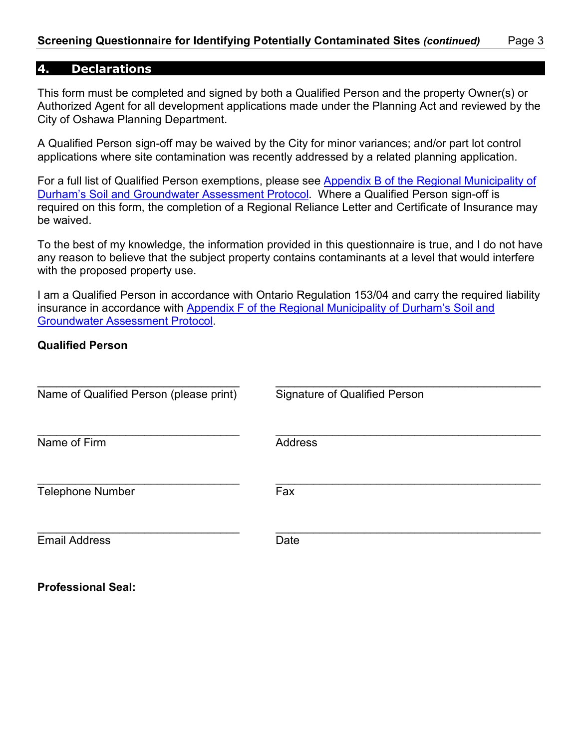#### **4. Declarations**

This form must be completed and signed by both a Qualified Person and the property Owner(s) or Authorized Agent for all development applications made under the Planning Act and reviewed by the City of Oshawa Planning Department.

A Qualified Person sign-off may be waived by the City for minor variances; and/or part lot control applications where site contamination was recently addressed by a related planning application.

For a full list of Qualified Person exemptions, please see [Appendix B of the Regional Municipality of](https://www.durham.ca/en/doing-business/resources/Documents/PlanningandDevelopment/Soil-and-Groundwater-Assessment-Protocol.pdf)  [Durham's Soil and Groundwater Assessment Protocol.](https://www.durham.ca/en/doing-business/resources/Documents/PlanningandDevelopment/Soil-and-Groundwater-Assessment-Protocol.pdf) Where a Qualified Person sign-off is required on this form, the completion of a Regional Reliance Letter and Certificate of Insurance may be waived.

To the best of my knowledge, the information provided in this questionnaire is true, and I do not have any reason to believe that the subject property contains contaminants at a level that would interfere with the proposed property use.

I am a Qualified Person in accordance with Ontario Regulation 153/04 and carry the required liability insurance in accordance with [Appendix F of the Regional Municipality of Durham's Soil and](https://www.durham.ca/en/doing-business/resources/Documents/PlanningandDevelopment/Soil-and-Groundwater-Assessment-Protocol.pdf)  [Groundwater Assessment Protocol.](https://www.durham.ca/en/doing-business/resources/Documents/PlanningandDevelopment/Soil-and-Groundwater-Assessment-Protocol.pdf)

#### **Qualified Person**

| Name of Qualified Person (please print) | <b>Signature of Qualified Person</b> |
|-----------------------------------------|--------------------------------------|
| Name of Firm                            | <b>Address</b>                       |
| <b>Telephone Number</b>                 | Fax                                  |
| <b>Email Address</b>                    | Date                                 |

**Professional Seal:**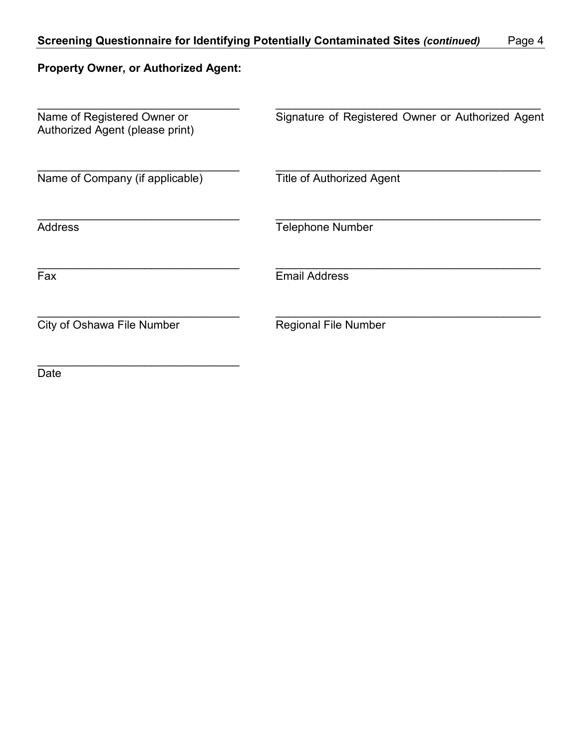# **Property Owner, or Authorized Agent:**

| Name of Registered Owner or<br>Authorized Agent (please print) | Signature of Registered Owner or Authorized Agent |
|----------------------------------------------------------------|---------------------------------------------------|
| Name of Company (if applicable)                                | <b>Title of Authorized Agent</b>                  |
| <b>Address</b>                                                 | <b>Telephone Number</b>                           |
| Fax                                                            | <b>Email Address</b>                              |
| City of Oshawa File Number                                     | <b>Regional File Number</b>                       |
| Date                                                           |                                                   |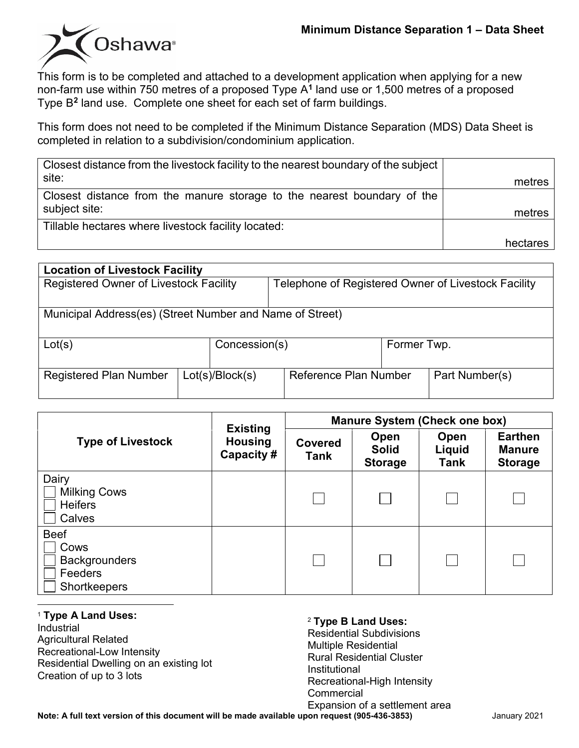

This form is to be completed and attached to a development application when applying for a new non-farm use within 750 metres of a proposed Type A**[1](#page-18-0)** land use or 1,500 metres of a proposed Type B**[2](#page-18-1)** land use. Complete one sheet for each set of farm buildings.

This form does not need to be completed if the Minimum Distance Separation (MDS) Data Sheet is completed in relation to a subdivision/condominium application.

| Closest distance from the livestock facility to the nearest boundary of the subject<br>site: | metres   |
|----------------------------------------------------------------------------------------------|----------|
| Closest distance from the manure storage to the nearest boundary of the<br>subject site:     | metres   |
| Tillable hectares where livestock facility located:                                          |          |
|                                                                                              | hectares |

| <b>Location of Livestock Facility</b>                    |  |                 |                                                     |             |                |  |
|----------------------------------------------------------|--|-----------------|-----------------------------------------------------|-------------|----------------|--|
| Registered Owner of Livestock Facility                   |  |                 | Telephone of Registered Owner of Livestock Facility |             |                |  |
| Municipal Address(es) (Street Number and Name of Street) |  |                 |                                                     |             |                |  |
| Lot(s)                                                   |  | Concession(s)   |                                                     | Former Twp. |                |  |
| <b>Registered Plan Number</b>                            |  | Lot(s)/Block(s) | Reference Plan Number                               |             | Part Number(s) |  |

| <b>Type of Livestock</b>                                               | <b>Existing</b><br><b>Housing</b><br>Capacity# | <b>Manure System (Check one box)</b> |                                        |                               |                                                   |
|------------------------------------------------------------------------|------------------------------------------------|--------------------------------------|----------------------------------------|-------------------------------|---------------------------------------------------|
|                                                                        |                                                | <b>Covered</b><br><b>Tank</b>        | Open<br><b>Solid</b><br><b>Storage</b> | Open<br>Liquid<br><b>Tank</b> | <b>Earthen</b><br><b>Manure</b><br><b>Storage</b> |
| Dairy<br><b>Milking Cows</b><br><b>Heifers</b><br>Calves               |                                                |                                      |                                        |                               |                                                   |
| <b>Beef</b><br>Cows<br><b>Backgrounders</b><br>Feeders<br>Shortkeepers |                                                |                                      |                                        |                               |                                                   |

<span id="page-18-1"></span><span id="page-18-0"></span><sup>1</sup> **Type A Land Uses:** Industrial Agricultural Related Recreational-Low Intensity Residential Dwelling on an existing lot Creation of up to 3 lots

#### <sup>2</sup> **Type B Land Uses:**

Residential Subdivisions Multiple Residential Rural Residential Cluster Institutional Recreational-High Intensity **Commercial** Expansion of a settlement area